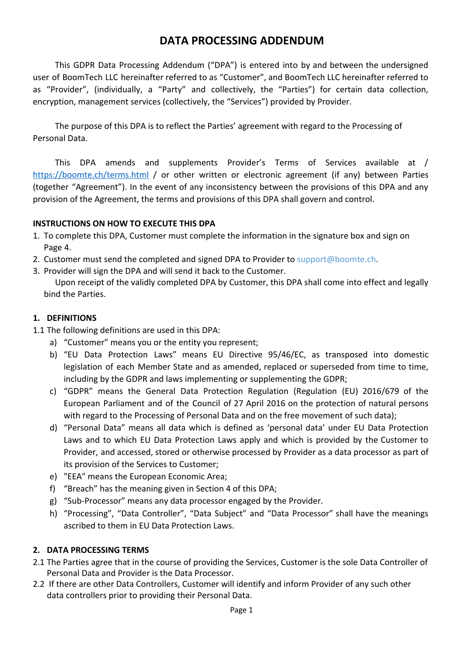# **DATA PROCESSING ADDENDUM**

This GDPR Data Processing Addendum ("DPA") is entered into by and between the undersigned user of BoomTech LLC hereinafter referred to as "Customer", and BoomTech LLC hereinafter referred to as "Provider", (individually, a "Party" and collectively, the "Parties") for certain data collection, encryption, management services (collectively, the "Services") provided by Provider.

The purpose of this DPA is to reflect the Parties' agreement with regard to the Processing of Personal Data.

This DPA amends and supplements Provider's Terms of Services available at / <https://boomte.ch/terms.html> / or other written or electronic agreement (if any) between Parties (together "Agreement"). In the event of any inconsistency between the provisions of this DPA and any provision of the Agreement, the terms and provisions of this DPA shall govern and control.

## **INSTRUCTIONS ON HOW TO EXECUTE THIS DPA**

- 1. To complete this DPA, Customer must complete the information in the signature box and sign on Page 4.
- 2. Customer must send the completed and signed DPA to Provider to [support@boomte.ch](mailto:support@boomte.ch).
- 3. Provider will sign the DPA and will send it back to the Customer. Upon receipt of the validly completed DPA by Customer, this DPA shall come into effect and legally bind the Parties.

## **1. DEFINITIONS**

- 1.1 The following definitions are used in this DPA:
	- a) "Customer" means you or the entity you represent;
	- b) "EU Data Protection Laws" means EU Directive 95/46/EC, as transposed into domestic legislation of each Member State and as amended, replaced or superseded from time to time, including by the GDPR and laws implementing or supplementing the GDPR;
	- c) "GDPR" means the General Data Protection Regulation (Regulation (EU) 2016/679 of the European Parliament and of the Council of 27 April 2016 on the protection of natural persons with regard to the Processing of Personal Data and on the free movement of such data);
	- d) "Personal Data" means all data which is defined as 'personal data' under EU Data Protection Laws and to which EU Data Protection Laws apply and which is provided by the Customer to Provider, and accessed, stored or otherwise processed by Provider as a data processor as part of its provision of the Services to Customer;
	- e) "EEA" means the European Economic Area;
	- f) "Breach" has the meaning given in Section 4 of this DPA;
	- g) "Sub-Processor" means any data processor engaged by the Provider.
	- h) "Processing", "Data Controller", "Data Subject" and "Data Processor" shall have the meanings ascribed to them in EU Data Protection Laws.

## **2. DATA PROCESSING TERMS**

- 2.1 The Parties agree that in the course of providing the Services, Customer is the sole Data Controller of Personal Data and Provider is the Data Processor.
- 2.2 If there are other Data Controllers, Customer will identify and inform Provider of any such other data controllers prior to providing their Personal Data.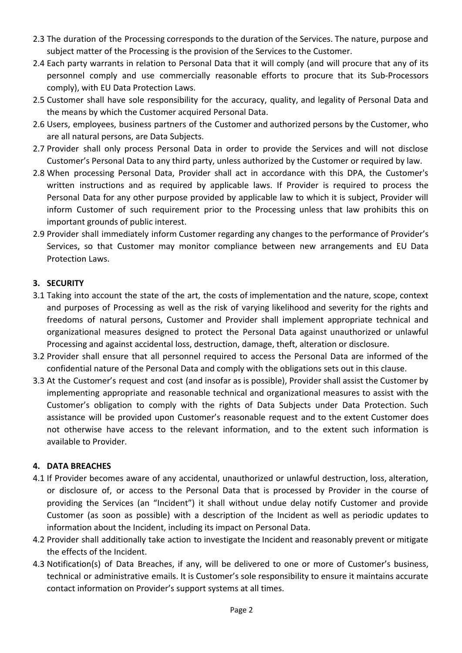- 2.3 The duration of the Processing corresponds to the duration of the Services. The nature, purpose and subject matter of the Processing is the provision of the Services to the Customer.
- 2.4 Each party warrants in relation to Personal Data that it will comply (and will procure that any of its personnel comply and use commercially reasonable efforts to procure that its Sub-Processors comply), with EU Data Protection Laws.
- 2.5 Customer shall have sole responsibility for the accuracy, quality, and legality of Personal Data and the means by which the Customer acquired Personal Data.
- 2.6 Users, employees, business partners of the Customer and authorized persons by the Customer, who are all natural persons, are Data Subjects.
- 2.7 Provider shall only process Personal Data in order to provide the Services and will not disclose Customer's Personal Data to any third party, unless authorized by the Customer or required by law.
- 2.8 When processing Personal Data, Provider shall act in accordance with this DPA, the Customer's written instructions and as required by applicable laws. If Provider is required to process the Personal Data for any other purpose provided by applicable law to which it is subject, Provider will inform Customer of such requirement prior to the Processing unless that law prohibits this on important grounds of public interest.
- 2.9 Provider shall immediately inform Customer regarding any changes to the performance of Provider's Services, so that Customer may monitor compliance between new arrangements and EU Data Protection Laws.

# **3. SECURITY**

- 3.1 Taking into account the state of the art, the costs of implementation and the nature, scope, context and purposes of Processing as well as the risk of varying likelihood and severity for the rights and freedoms of natural persons, Customer and Provider shall implement appropriate technical and organizational measures designed to protect the Personal Data against unauthorized or unlawful Processing and against accidental loss, destruction, damage, theft, alteration or disclosure.
- 3.2 Provider shall ensure that all personnel required to access the Personal Data are informed of the confidential nature of the Personal Data and comply with the obligations sets out in this clause.
- 3.3 At the Customer's request and cost (and insofar as is possible), Provider shall assist the Customer by implementing appropriate and reasonable technical and organizational measures to assist with the Customer's obligation to comply with the rights of Data Subjects under Data Protection. Such assistance will be provided upon Customer's reasonable request and to the extent Customer does not otherwise have access to the relevant information, and to the extent such information is available to Provider.

# **4. DATA BREACHES**

- 4.1 If Provider becomes aware of any accidental, unauthorized or unlawful destruction, loss, alteration, or disclosure of, or access to the Personal Data that is processed by Provider in the course of providing the Services (an "Incident") it shall without undue delay notify Customer and provide Customer (as soon as possible) with a description of the Incident as well as periodic updates to information about the Incident, including its impact on Personal Data.
- 4.2 Provider shall additionally take action to investigate the Incident and reasonably prevent or mitigate the effects of the Incident.
- 4.3 Notification(s) of Data Breaches, if any, will be delivered to one or more of Customer's business, technical or administrative emails. It is Customer's sole responsibility to ensure it maintains accurate contact information on Provider's support systems at all times.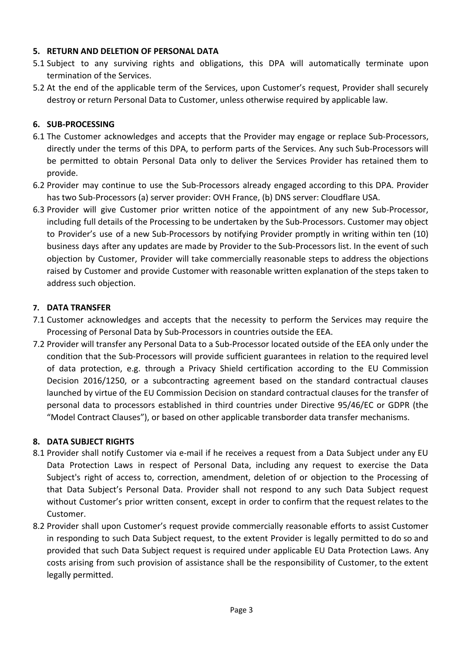## **5. RETURN AND DELETION OF PERSONAL DATA**

- 5.1 Subject to any surviving rights and obligations, this DPA will automatically terminate upon termination of the Services.
- 5.2 At the end of the applicable term of the Services, upon Customer's request, Provider shall securely destroy or return Personal Data to Customer, unless otherwise required by applicable law.

## **6. SUB-PROCESSING**

- 6.1 The Customer acknowledges and accepts that the Provider may engage or replace Sub-Processors, directly under the terms of this DPA, to perform parts of the Services. Any such Sub-Processors will be permitted to obtain Personal Data only to deliver the Services Provider has retained them to provide.
- 6.2 Provider may continue to use the Sub-Processors already engaged according to this DPA. Provider has two Sub-Processors (a) server provider: OVH France, (b) DNS server: Cloudflare USA.
- 6.3 Provider will give Customer prior written notice of the appointment of any new Sub-Processor, including full details of the Processing to be undertaken by the Sub-Processors. Customer may object to Provider's use of a new Sub-Processors by notifying Provider promptly in writing within ten (10) business days after any updates are made by Provider to the Sub-Processors list. In the event of such objection by Customer, Provider will take commercially reasonable steps to address the objections raised by Customer and provide Customer with reasonable written explanation of the steps taken to address such objection.

## **7. DATA TRANSFER**

- 7.1 Customer acknowledges and accepts that the necessity to perform the Services may require the Processing of Personal Data by Sub-Processors in countries outside the EEA.
- 7.2 Provider will transfer any Personal Data to a Sub-Processor located outside of the EEA only under the condition that the Sub-Processors will provide sufficient guarantees in relation to the required level of data protection, e.g. through a Privacy Shield certification according to the EU Commission Decision 2016/1250, or a subcontracting agreement based on the standard contractual clauses launched by virtue of the EU Commission Decision on standard contractual clauses for the transfer of personal data to processors established in third countries under Directive 95/46/EC or GDPR (the "Model Contract Clauses"), or based on other applicable transborder data transfer mechanisms.

## **8. DATA SUBJECT RIGHTS**

- 8.1 Provider shall notify Customer via e-mail if he receives a request from a Data Subject under any EU Data Protection Laws in respect of Personal Data, including any request to exercise the Data Subject's right of access to, correction, amendment, deletion of or objection to the Processing of that Data Subject's Personal Data. Provider shall not respond to any such Data Subject request without Customer's prior written consent, except in order to confirm that the request relates to the Customer.
- 8.2 Provider shall upon Customer's request provide commercially reasonable efforts to assist Customer in responding to such Data Subject request, to the extent Provider is legally permitted to do so and provided that such Data Subject request is required under applicable EU Data Protection Laws. Any costs arising from such provision of assistance shall be the responsibility of Customer, to the extent legally permitted.